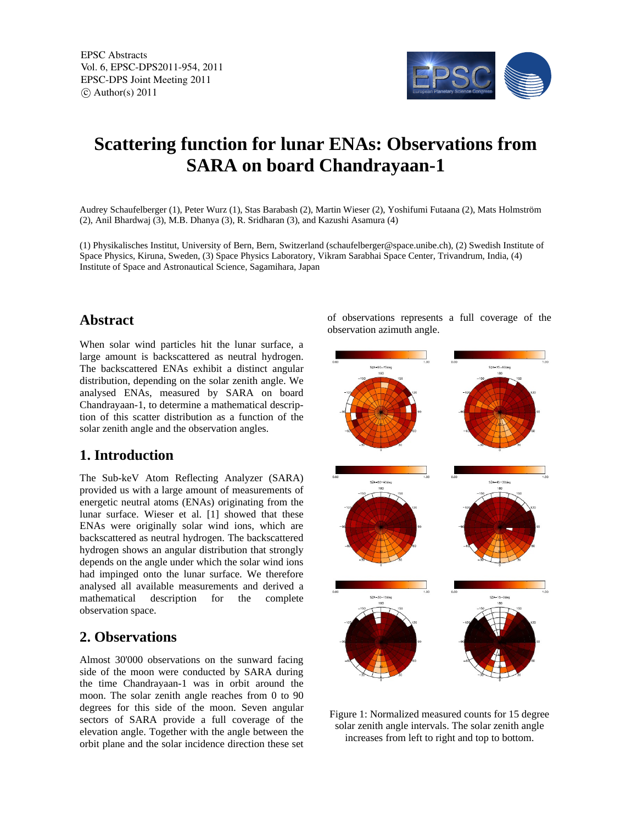EPSC Abstracts Vol. 6, EPSC-DPS2011-954, 2011 EPSC-DPS Joint Meeting 2011  $\circ$  Author(s) 2011



# **Scattering function for lunar ENAs: Observations from SARA on board Chandrayaan-1**

Audrey Schaufelberger (1), Peter Wurz (1), Stas Barabash (2), Martin Wieser (2), Yoshifumi Futaana (2), Mats Holmström (2), Anil Bhardwaj (3), M.B. Dhanya (3), R. Sridharan (3), and Kazushi Asamura (4)

(1) Physikalisches Institut, University of Bern, Bern, Switzerland (schaufelberger@space.unibe.ch), (2) Swedish Institute of Space Physics, Kiruna, Sweden, (3) Space Physics Laboratory, Vikram Sarabhai Space Center, Trivandrum, India, (4) Institute of Space and Astronautical Science, Sagamihara, Japan

#### **Abstract**

When solar wind particles hit the lunar surface, a large amount is backscattered as neutral hydrogen. The backscattered ENAs exhibit a distinct angular distribution, depending on the solar zenith angle. We analysed ENAs, measured by SARA on board Chandrayaan-1, to determine a mathematical description of this scatter distribution as a function of the solar zenith angle and the observation angles.

#### **1. Introduction**

The Sub-keV Atom Reflecting Analyzer (SARA) provided us with a large amount of measurements of energetic neutral atoms (ENAs) originating from the lunar surface. Wieser et al. [1] showed that these ENAs were originally solar wind ions, which are backscattered as neutral hydrogen. The backscattered hydrogen shows an angular distribution that strongly depends on the angle under which the solar wind ions had impinged onto the lunar surface. We therefore analysed all available measurements and derived a mathematical description for the complete observation space.

### **2. Observations**

Almost 30'000 observations on the sunward facing side of the moon were conducted by SARA during the time Chandrayaan-1 was in orbit around the moon. The solar zenith angle reaches from 0 to 90 degrees for this side of the moon. Seven angular sectors of SARA provide a full coverage of the elevation angle. Together with the angle between the orbit plane and the solar incidence direction these set

of observations represents a full coverage of the observation azimuth angle.



Figure 1: Normalized measured counts for 15 degree solar zenith angle intervals. The solar zenith angle increases from left to right and top to bottom.